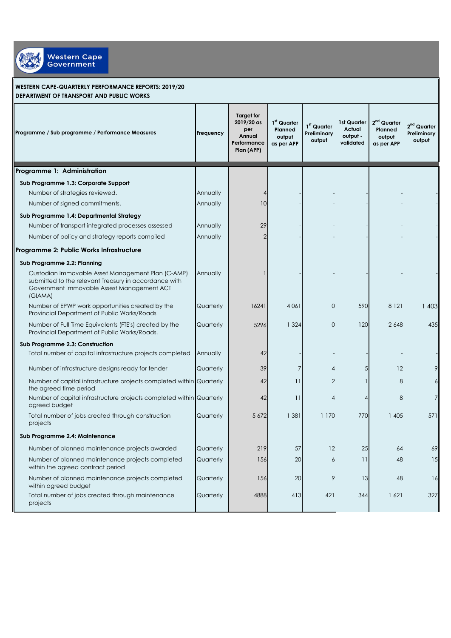

## **WESTERN CAPE-QUARTERLY PERFORMANCE REPORTS: 2019/20 DEPARTMENT OF TRANSPORT AND PUBLIC WORKS**

| Programme / Sub programme / Performance Measures                                                                                                                    | Frequency | Target for<br>2019/20 as<br>per<br>Annual<br>Performance<br>Plan (APP) | 1 <sup>st</sup> Quarter<br>Planned<br>output<br>as per APP | 1 <sup>st</sup> Quarter<br>Preliminary<br>output | 1st Quarter<br>Actual<br>output -<br>validated | 2 <sup>nd</sup> Quarter<br>Planned<br>output<br>as per APP | 2 <sup>nd</sup> Quarter<br>Preliminary<br>output |
|---------------------------------------------------------------------------------------------------------------------------------------------------------------------|-----------|------------------------------------------------------------------------|------------------------------------------------------------|--------------------------------------------------|------------------------------------------------|------------------------------------------------------------|--------------------------------------------------|
| Programme 1: Administration                                                                                                                                         |           |                                                                        |                                                            |                                                  |                                                |                                                            |                                                  |
| Sub Programme 1.3: Corporate Support                                                                                                                                |           |                                                                        |                                                            |                                                  |                                                |                                                            |                                                  |
| Number of strategies reviewed.                                                                                                                                      | Annually  | $\overline{A}$                                                         |                                                            |                                                  |                                                |                                                            |                                                  |
| Number of signed commitments.                                                                                                                                       | Annually  | 10                                                                     |                                                            |                                                  |                                                |                                                            |                                                  |
| Sub Programme 1.4: Departmental Strategy                                                                                                                            |           |                                                                        |                                                            |                                                  |                                                |                                                            |                                                  |
| Number of transport integrated processes assessed                                                                                                                   | Annually  | 29                                                                     |                                                            |                                                  |                                                |                                                            |                                                  |
| Number of policy and strategy reports compiled                                                                                                                      | Annually  | 2                                                                      |                                                            |                                                  |                                                |                                                            |                                                  |
| Programme 2: Public Works Infrastructure                                                                                                                            |           |                                                                        |                                                            |                                                  |                                                |                                                            |                                                  |
| Sub Programme 2.2: Planning                                                                                                                                         |           |                                                                        |                                                            |                                                  |                                                |                                                            |                                                  |
| Custodian Immovable Asset Management Plan (C-AMP)<br>submitted to the relevant Treasury in accordance with<br>Government Immovable Assest Management ACT<br>(GIAMA) | Annually  |                                                                        |                                                            |                                                  |                                                |                                                            |                                                  |
| Number of EPWP work opportunities created by the<br>Provincial Department of Public Works/Roads                                                                     | Quarterly | 16241                                                                  | 4 0 6 1                                                    | $\circ$                                          | 590                                            | 8 1 2 1                                                    | 1 403                                            |
| Number of Full Time Equivalents (FTE's) created by the<br>Provincial Department of Public Works/Roads.                                                              | Quarterly | 5296                                                                   | 1 3 2 4                                                    | $\overline{O}$                                   | 120                                            | 2648                                                       | 435                                              |
| Sub Programme 2.3: Construction                                                                                                                                     |           |                                                                        |                                                            |                                                  |                                                |                                                            |                                                  |
| Total number of capital infrastructure projects completed                                                                                                           | Annually  | 42                                                                     |                                                            |                                                  |                                                |                                                            |                                                  |
| Number of infrastructure designs ready for tender                                                                                                                   | Quarterly | 39                                                                     |                                                            | 4                                                | 5                                              | 12                                                         |                                                  |
| Number of capital infrastructure projects completed within Quarterly<br>the agreed time period                                                                      |           | 42                                                                     | 11                                                         | $\overline{2}$                                   |                                                | 8                                                          |                                                  |
| Number of capital infrastructure projects completed within Quarterly<br>agreed budget                                                                               |           | 42                                                                     | 11                                                         | 4                                                |                                                | 8                                                          |                                                  |
| Total number of jobs created through construction<br>projects                                                                                                       | Quarterly | 5 6 7 2                                                                | 1 381                                                      | 1 170                                            | 770                                            | 1 405                                                      | 571                                              |
| Sub Programme 2.4: Maintenance                                                                                                                                      |           |                                                                        |                                                            |                                                  |                                                |                                                            |                                                  |
| Number of planned maintenance projects awarded                                                                                                                      | Quarterly | 219                                                                    | 57                                                         | 12                                               | 25                                             | 64                                                         | 69                                               |
| Number of planned maintenance projects completed<br>within the agreed contract period                                                                               | Quarterly | 156                                                                    | 20                                                         | 6                                                | 11                                             | 48                                                         | 15                                               |
| Number of planned maintenance projects completed<br>within agreed budget                                                                                            | Quarterly | 156                                                                    | 20                                                         | 9                                                | 13                                             | 48                                                         | 16                                               |
| Total number of jobs created through maintenance<br>projects                                                                                                        | Quarterly | 4888                                                                   | 413                                                        | 421                                              | 344                                            | 1621                                                       | 327                                              |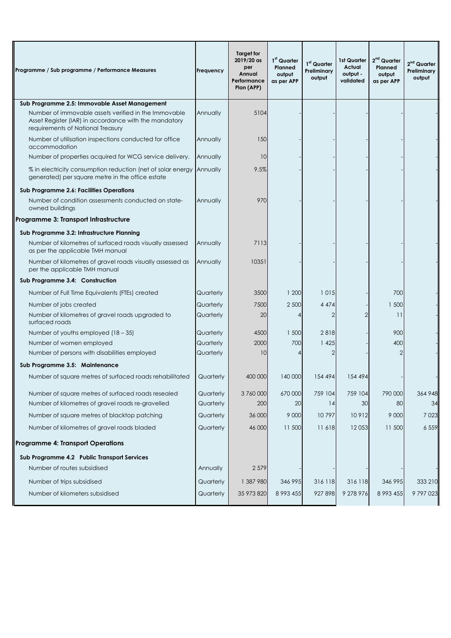| Programme / Sub programme / Performance Measures                                                                                                   | Frequency | <b>Target for</b><br>2019/20 as<br>per<br>Annual<br>Performance<br>Plan (APP) | 1 <sup>st</sup> Quarter<br>Planned<br>output<br>as per APP | 1st Quarter<br>Preliminary<br>output | 1st Quarter<br>Actual<br>output -<br>validated | 2 <sup>nd</sup> Quarter<br>Planned<br>output<br>as per APP | $2nd$ Quarter<br>Preliminary<br>output |
|----------------------------------------------------------------------------------------------------------------------------------------------------|-----------|-------------------------------------------------------------------------------|------------------------------------------------------------|--------------------------------------|------------------------------------------------|------------------------------------------------------------|----------------------------------------|
| Sub Programme 2.5: Immovable Asset Management                                                                                                      |           |                                                                               |                                                            |                                      |                                                |                                                            |                                        |
| Number of immovable assets verified in the Immovable<br>Asset Register (IAR) in accordance with the mandatory<br>requirements of National Treasury | Annually  | 5104                                                                          |                                                            |                                      |                                                |                                                            |                                        |
| Number of utilisation inspections conducted for office<br>accommodation                                                                            | Annually  | 150                                                                           |                                                            |                                      |                                                |                                                            |                                        |
| Number of properties acquired for WCG service delivery.                                                                                            | Annually  | 10                                                                            |                                                            |                                      |                                                |                                                            |                                        |
| % in electricity consumption reduction (net of solar energy<br>generated) per square metre in the office estate                                    | Annually  | 9.5%                                                                          |                                                            |                                      |                                                |                                                            |                                        |
| Sub Programme 2.6: Facilities Operations                                                                                                           |           |                                                                               |                                                            |                                      |                                                |                                                            |                                        |
| Number of condition assessments conducted on state-<br>owned buildings                                                                             | Annually  | 970                                                                           |                                                            |                                      |                                                |                                                            |                                        |
| Programme 3: Transport Infrastructure                                                                                                              |           |                                                                               |                                                            |                                      |                                                |                                                            |                                        |
| Sub Programme 3.2: Infrastructure Planning                                                                                                         |           |                                                                               |                                                            |                                      |                                                |                                                            |                                        |
| Number of kilometres of surfaced roads visually assessed<br>as per the applicable TMH manual                                                       | Annually  | 7113                                                                          |                                                            |                                      |                                                |                                                            |                                        |
| Number of kilometres of gravel roads visually assessed as<br>per the applicable TMH manual                                                         | Annually  | 10351                                                                         |                                                            |                                      |                                                |                                                            |                                        |
| Sub Programme 3.4: Construction                                                                                                                    |           |                                                                               |                                                            |                                      |                                                |                                                            |                                        |
| Number of Full Time Equivalents (FTEs) created                                                                                                     | Quarterly | 3500                                                                          | 1 200                                                      | 1015                                 |                                                | 700                                                        |                                        |
| Number of jobs created                                                                                                                             | Quarterly | 7500                                                                          | 2 500                                                      | 4 4 7 4                              |                                                | 1 500                                                      |                                        |
| Number of kilometres of gravel roads upgraded to<br>surfaced roads                                                                                 | Quarterly | 20                                                                            |                                                            | 2                                    |                                                | 11                                                         |                                        |
| Number of youths employed $(18 - 35)$                                                                                                              | Quarterly | 4500                                                                          | 1 500                                                      | 2818                                 |                                                | 900                                                        |                                        |
| Number of women employed                                                                                                                           | Quarterly | 2000                                                                          | 700                                                        | 1 4 2 5                              |                                                | 400                                                        |                                        |
| Number of persons with disabilities employed                                                                                                       | Quarterly | 10                                                                            |                                                            | 2                                    |                                                | 2                                                          |                                        |
| Sub Programme 3.5: Maintenance                                                                                                                     |           |                                                                               |                                                            |                                      |                                                |                                                            |                                        |
| Number of square metres of surfaced roads rehabilitated                                                                                            | Quarterly | 400 000                                                                       | 140 000                                                    | 154 494                              | 154 494                                        |                                                            |                                        |
| Number of square metres of surfaced roads resealed                                                                                                 | Quarterly | 3760000                                                                       | 670 000                                                    | 759 104                              | 759 104                                        | 790 000                                                    | 364 948                                |
| Number of kilometres of gravel roads re-gravelled                                                                                                  | Quarterly | 200                                                                           | 20                                                         | 14                                   | 30                                             | 80                                                         | 34                                     |
| Number of square metres of blacktop patching                                                                                                       | Quarterly | 36 000                                                                        | 9 0 0 0                                                    | 10797                                | 10912                                          | 9 0 0 0                                                    | 7 0 2 3                                |
| Number of kilometres of gravel roads bladed                                                                                                        | Quarterly | 46 000                                                                        | 11 500                                                     | 11618                                | 12053                                          | 11 500                                                     | 6 5 5 9                                |
| <b>Programme 4: Transport Operations</b>                                                                                                           |           |                                                                               |                                                            |                                      |                                                |                                                            |                                        |
| Sub Programme 4.2 Public Transport Services                                                                                                        |           |                                                                               |                                                            |                                      |                                                |                                                            |                                        |
| Number of routes subsidised                                                                                                                        | Annually  | 2 5 7 9                                                                       |                                                            |                                      |                                                |                                                            |                                        |
| Number of trips subsidised                                                                                                                         | Quarterly | 1 387 980                                                                     | 346 995                                                    | 316 118                              | 316 118                                        | 346 995                                                    | 333 210                                |
| Number of kilometers subsidised                                                                                                                    | Quarterly | 35 973 820                                                                    | 8 9 9 3 4 5 5                                              | 927 898                              | 9 278 976                                      | 8 9 9 3 4 5 5                                              | 9797023                                |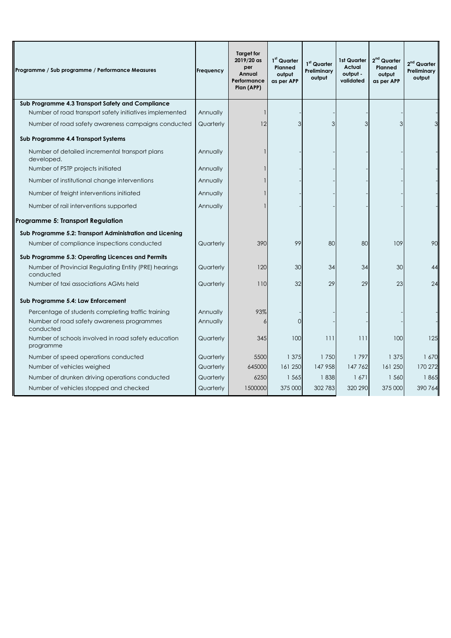| Programme / Sub programme / Performance Measures                   | Frequency | Target for<br>2019/20 as<br>per<br>Annual<br>Performance<br>Plan (APP) | 1st Quarter<br>Planned<br>output<br>as per APP | 1 <sup>st</sup> Quarter<br>Preliminary<br>output | 1st Quarter<br>Actual<br>output -<br>validated | 2 <sup>nd</sup> Quarter<br>Planned<br>output<br>as per APP | 2 <sup>nd</sup> Quarter<br>Preliminary<br>output |
|--------------------------------------------------------------------|-----------|------------------------------------------------------------------------|------------------------------------------------|--------------------------------------------------|------------------------------------------------|------------------------------------------------------------|--------------------------------------------------|
| Sub Programme 4.3 Transport Safety and Compliance                  |           |                                                                        |                                                |                                                  |                                                |                                                            |                                                  |
| Number of road transport safety initiatives implemented            | Annually  |                                                                        |                                                |                                                  |                                                |                                                            |                                                  |
| Number of road safety awareness campaigns conducted                | Quarterly | 12                                                                     | e,                                             | 3                                                |                                                | 3                                                          |                                                  |
| Sub Programme 4.4 Transport Systems                                |           |                                                                        |                                                |                                                  |                                                |                                                            |                                                  |
| Number of detailed incremental transport plans<br>developed.       | Annually  |                                                                        |                                                |                                                  |                                                |                                                            |                                                  |
| Number of PSTP projects initiated                                  | Annually  |                                                                        |                                                |                                                  |                                                |                                                            |                                                  |
| Number of institutional change interventions                       | Annually  |                                                                        |                                                |                                                  |                                                |                                                            |                                                  |
| Number of freight interventions initiated                          | Annually  |                                                                        |                                                |                                                  |                                                |                                                            |                                                  |
| Number of rail interventions supported                             | Annually  |                                                                        |                                                |                                                  |                                                |                                                            |                                                  |
| Programme 5: Transport Regulation                                  |           |                                                                        |                                                |                                                  |                                                |                                                            |                                                  |
| Sub Programme 5.2: Transport Administration and Licening           |           |                                                                        |                                                |                                                  |                                                |                                                            |                                                  |
| Number of compliance inspections conducted                         | Quarterly | 390                                                                    | 99                                             | 80                                               | 80                                             | 109                                                        | 90                                               |
| Sub Programme 5.3: Operating Licences and Permits                  |           |                                                                        |                                                |                                                  |                                                |                                                            |                                                  |
| Number of Provincial Regulating Entity (PRE) hearings<br>conducted | Quarterly | 120                                                                    | 30                                             | 34                                               | 34                                             | 30                                                         | 44                                               |
| Number of taxi associations AGMs held                              | Quarterly | 110                                                                    | 32                                             | 29                                               | 29                                             | 23                                                         | 24                                               |
| Sub Programme 5.4: Law Enforcement                                 |           |                                                                        |                                                |                                                  |                                                |                                                            |                                                  |
| Percentage of students completing traffic training                 | Annually  | 93%                                                                    |                                                |                                                  |                                                |                                                            |                                                  |
| Number of road safety awareness programmes<br>conducted            | Annually  | 6                                                                      | $\Omega$                                       |                                                  |                                                |                                                            |                                                  |
| Number of schools involved in road safety education<br>programme   | Quarterly | 345                                                                    | 100                                            | 111                                              | 111                                            | 100                                                        | 125                                              |
| Number of speed operations conducted                               | Quarterly | 5500                                                                   | 1 375                                          | 1750                                             | 1797                                           | 1 375                                                      | 1 670                                            |
| Number of vehicles weighed                                         | Quarterly | 645000                                                                 | 161 250                                        | 147 958                                          | 147762                                         | 161 250                                                    | 170 272                                          |
| Number of drunken driving operations conducted                     | Quarterly | 6250                                                                   | 1 5 6 5                                        | 1838                                             | 1671                                           | 1 560                                                      | 1865                                             |
| Number of vehicles stopped and checked                             | Quarterly | 1500000                                                                | 375 000                                        | 302 783                                          | 320 290                                        | 375 000                                                    | 390 764                                          |